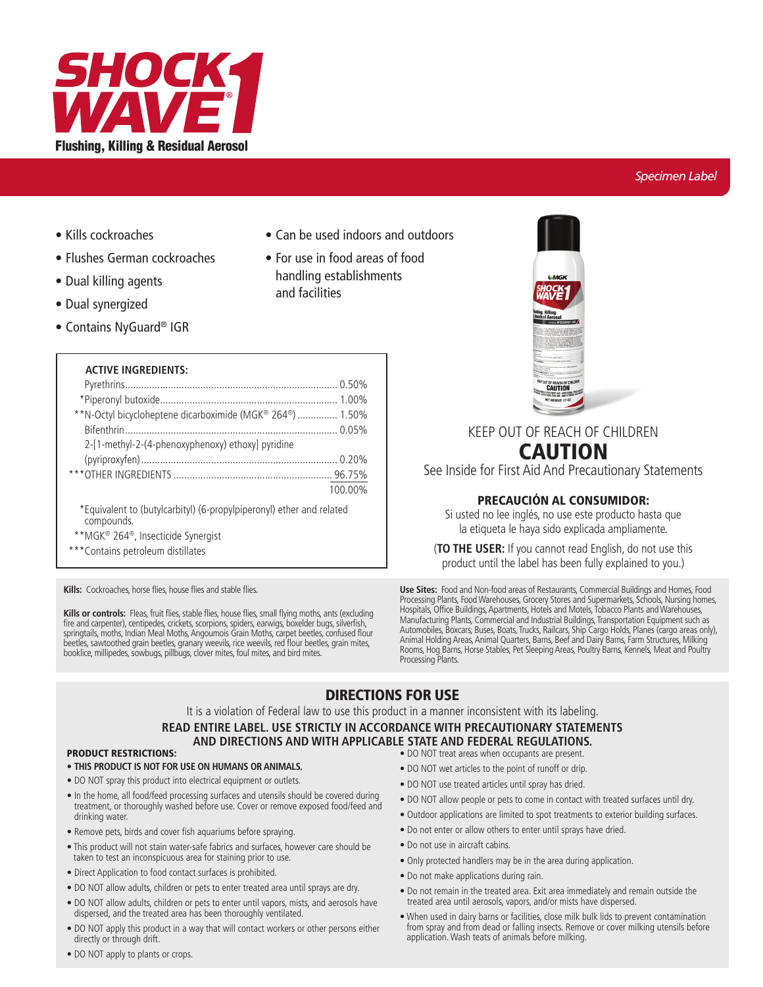

# **Specimen Label**

- Kills cockroaches
- Flushes German cockroaches
- Dual killing agents
- Dual synergized
- Contains NyGuard® IGR

# **ACTIVE INGREDIENTS:**

| **N-Octyl bicycloheptene dicarboximide (MGK® 264®) 1.50% |         |
|----------------------------------------------------------|---------|
|                                                          |         |
| 2-[1-methyl-2-(4-phenoxyphenoxy) ethoxy] pyridine        |         |
|                                                          |         |
|                                                          |         |
|                                                          | 100.00% |
|                                                          |         |

\*Equivalent to (butylcarbityl) (6-propylpiperonyl) ether and related compounds.

- \*\*MGK® 264®, Insecticide Synergist
- \*\*\* Contains petroleum distillates

Kills: Cockroaches, horse flies, house flies and stable flies.

Kills or controls: Fleas, fruit flies, stable flies, house flies, small flying moths, ants (excluding fire and carpenter), centipedes, crickets, scorpions, spiders, earwigs, boxelder bugs, silverfish,<br>springtails, moths, Indian Meal Moths, Angoumois Grain Moths, carpet beetles, confused flour beetles, sawtoothed grain beetles, granary weevils, rice weevils, red flour beetles, grain mites, booklice, millipedes, sowbugs, pillbugs, clover mites, foul mites, and bird mites.



# KEEP OUT OF REACH OF CHILDREN **CAUTION**

See Inside for First Aid And Precautionary Statements

# **PRECAUCIÓN AL CONSUMIDOR:**

Si usted no lee inglés, no use este producto hasta que la etiqueta le haya sido explicada ampliamente.

(TO THE USER: If you cannot read English, do not use this product until the label has been fully explained to you.)

Use Sites: Food and Non-food areas of Restaurants, Commercial Buildings and Homes, Food Processing Plants, Food Warehouses, Grocery Stores and Supermarkets, Schools, Nursing homes, Hospitals, Office Buildings, Apartments, Manufacturing Plants, Commercial and Industrial Buildings, Transportation Equipment such as<br>Automobiles, Boxcars, Buses, Boats, Trucks, Railcars, Ship Cargo Holds, Planes (cargo areas only),<br>Animal Holding Areas, Animal Qu Rooms, Hog Barns, Horse Stables, Pet Sleeping Areas, Poultry Barns, Kennels, Meat and Poultry Processing Plants

# **DIRECTIONS FOR USE**

• Can be used indoors and outdoors

• For use in food areas of food handling establishments

and facilities

It is a violation of Federal law to use this product in a manner inconsistent with its labeling.

# READ ENTIRE LABEL. USE STRICTLY IN ACCORDANCE WITH PRECAUTIONARY STATEMENTS

# AND DIRECTIONS AND WITH APPLICABLE STATE AND FEDERAL REGULATIONS.

# **PRODUCT RESTRICTIONS:**

- . THIS PRODUCT IS NOT FOR USE ON HUMANS OR ANIMALS.
- . DO NOT spray this product into electrical equipment or outlets.
- In the home, all food/feed processing surfaces and utensils should be covered during treatment, or thoroughly washed before use. Cover or remove exposed food/feed and drinking water.
- Remove pets, birds and cover fish aquariums before spraying.
- · This product will not stain water-safe fabrics and surfaces, however care should be taken to test an inconspicuous area for staining prior to use.
- · Direct Application to food contact surfaces is prohibited.
- . DO NOT allow adults, children or pets to enter treated area until sprays are dry.
- . DO NOT allow adults, children or pets to enter until vapors, mists, and aerosols have dispersed, and the treated area has been thoroughly ventilated.
- DO NOT apply this product in a way that will contact workers or other persons either directly or through drift.
- . DO NOT treat areas when occupants are present.
- . DO NOT wet articles to the point of runoff or drip.
- . DO NOT use treated articles until spray has dried.
- . DO NOT allow people or pets to come in contact with treated surfaces until dry.
- · Outdoor applications are limited to spot treatments to exterior building surfaces.
- . Do not enter or allow others to enter until sprays have dried.
- · Do not use in aircraft cabins.
- . Only protected handlers may be in the area during application.
- . Do not make applications during rain.
- . Do not remain in the treated area. Exit area immediately and remain outside the treated area until aerosols, vapors, and/or mists have dispersed.
- . When used in dairy barns or facilities, close milk bulk lids to prevent contamination from spray and from dead or falling insects. Remove or cover milking utensils before application. Wash teats of animals before milking.

• DO NOT apply to plants or crops.